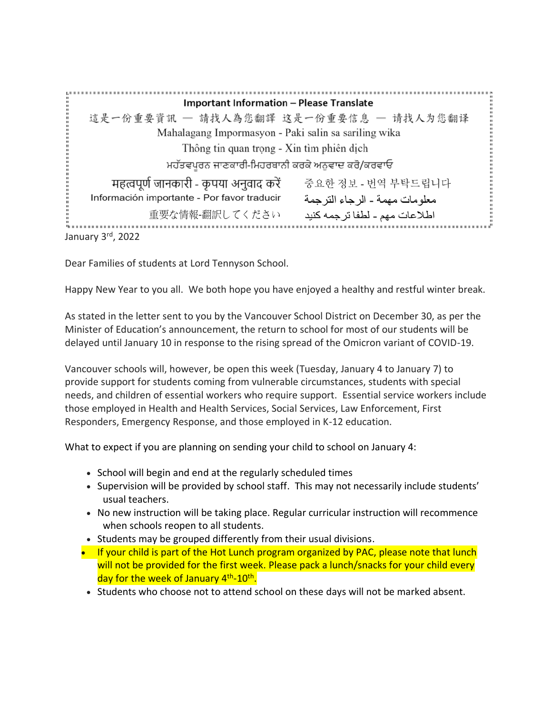**Important Information - Please Translate** :<br>:::::: 這是一份重要資訊 - 請找人為您翻譯 这是一份重要信息 - 请找人为您翻译 Mahalagang Impormasyon - Paki salin sa sariling wika Thông tin quan trọng - Xin tìm phiên dịch ਮਹੱਤਵਪੂਰਨ ਜਾਣਕਾਰੀ-ਮਿਹਰਬਾਨੀ ਕਰਕੇ ਅਨਵਾਦ ਕਰੋ/ਕਰਵਾਓ महत्वपूर्ण जानकारी - कृपया अनुवाद करें हिन्द्र के अप्रे - राष्ट्र मे मे मे न्यान्धि معلومات مهمة ـ الرجاء الترجمة Información importante - Por favor traducir اطلاعات مهم - لطفا ترجمه كنيد 重要な情報-翻訳してください January 3rd, 2022

Dear Families of students at Lord Tennyson School.

Happy New Year to you all. We both hope you have enjoyed a healthy and restful winter break.

As stated in the letter sent to you by the Vancouver School District on December 30, as per the Minister of Education's announcement, the return to school for most of our students will be delayed until January 10 in response to the rising spread of the Omicron variant of COVID-19.

Vancouver schools will, however, be open this week (Tuesday, January 4 to January 7) to provide support for students coming from vulnerable circumstances, students with special needs, and children of essential workers who require support. Essential service workers include those employed in Health and Health Services, Social Services, Law Enforcement, First Responders, Emergency Response, and those employed in K-12 education.

What to expect if you are planning on sending your child to school on January 4:

- School will begin and end at the regularly scheduled times
- Supervision will be provided by school staff. This may not necessarily include students' usual teachers.
- No new instruction will be taking place. Regular curricular instruction will recommence when schools reopen to all students.
- Students may be grouped differently from their usual divisions.
- If your child is part of the Hot Lunch program organized by PAC, please note that lunch will not be provided for the first week. Please pack a lunch/snacks for your child every day for the week of January 4<sup>th</sup>-10<sup>th</sup>.
- Students who choose not to attend school on these days will not be marked absent.